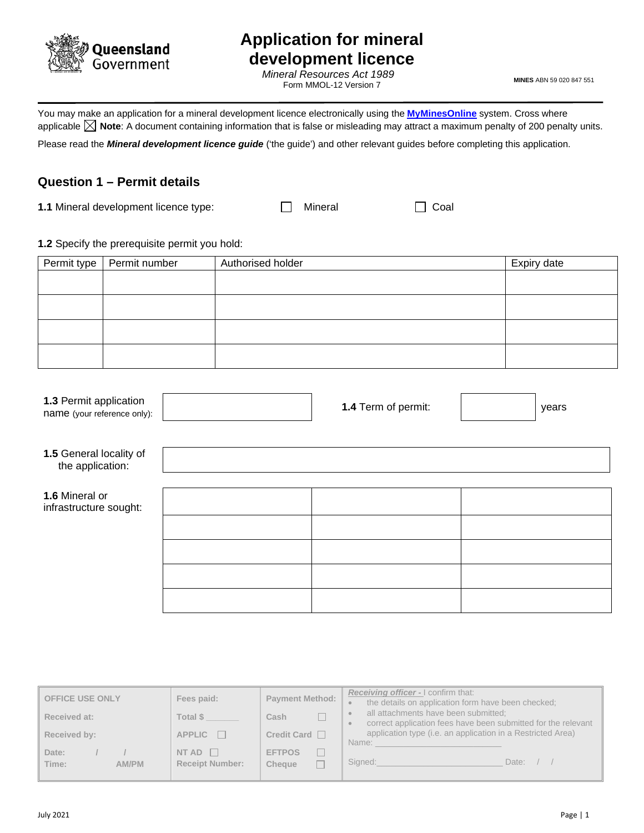

# **Application for mineral development licence**

*Mineral Resources Act 1989* Form MMOL-12 Version 7

**MINES** ABN 59 020 847 551

You may make an application for a mineral development licence electronically using the**[MyMinesOnline](https://www.business.qld.gov.au/industries/mining-energy-water/resources/online-services/myminesonline)** system. Cross where applicable **X** Note: A document containing information that is false or misleading may attract a maximum penalty of 200 penalty units.

Please read the *Mineral development licence guide* ('the guide') and other relevant guides before completing this application.

# **Question 1 – Permit details**

**1.1** Mineral development licence type:  $\Box$  Mineral  $\Box$  Coal

#### **1.2** Specify the prerequisite permit you hold:

| Permit type | Permit number | Authorised holder | Expiry date |
|-------------|---------------|-------------------|-------------|
|             |               |                   |             |
|             |               |                   |             |
|             |               |                   |             |
|             |               |                   |             |

| 1.3 Permit application<br>name (your reference only): | 1.4 Term of permit: | years |
|-------------------------------------------------------|---------------------|-------|
| 1.5 General locality of<br>the application:           |                     |       |
| 1.6 Mineral or<br>infrastructure sought:              |                     |       |
|                                                       |                     |       |
|                                                       |                     |       |

| <b>OFFICE USE ONLY</b>  | Fees paid:                             | <b>Payment Method:</b>  | <b>Receiving officer - I confirm that:</b><br>the details on application form have been checked;      |
|-------------------------|----------------------------------------|-------------------------|-------------------------------------------------------------------------------------------------------|
| Received at:            | Total \$                               | Cash                    | all attachments have been submitted;<br>correct application fees have been submitted for the relevant |
| Received by:            | $APPLIC$ $\Box$                        | Credit Card $\Box$      | application type (i.e. an application in a Restricted Area)<br>Name:                                  |
| Date:<br>Time:<br>AM/PM | NT AD $\Box$<br><b>Receipt Number:</b> | <b>EFTPOS</b><br>Cheque | Signed:<br>Date: $/$                                                                                  |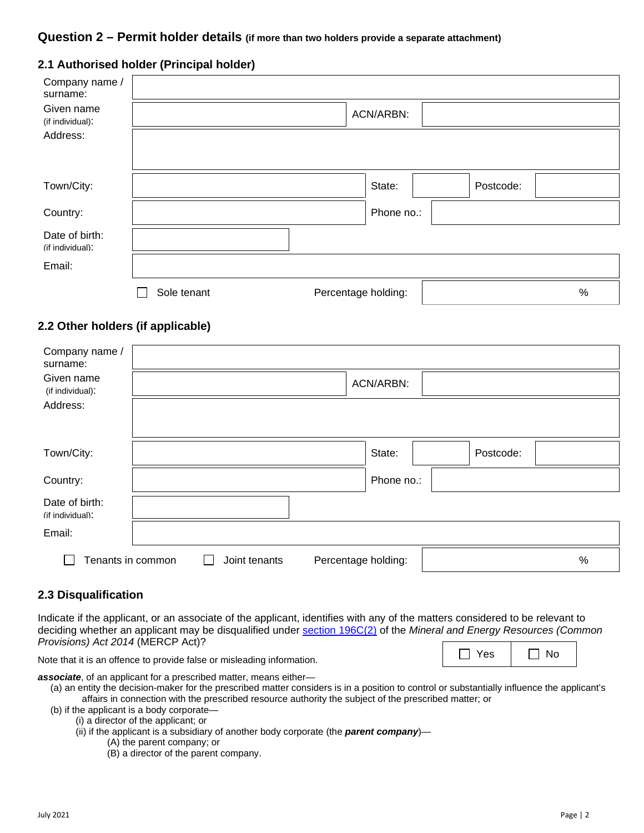#### **Question 2 – Permit holder details (if more than two holders provide a separate attachment)**

|  | 2.1 Authorised holder (Principal holder) |
|--|------------------------------------------|
|--|------------------------------------------|

| Company name /<br>surname:         |             |                     |           |      |
|------------------------------------|-------------|---------------------|-----------|------|
| Given name<br>(if individual):     |             | ACN/ARBN:           |           |      |
| Address:                           |             |                     |           |      |
|                                    |             |                     |           |      |
| Town/City:                         |             | State:              | Postcode: |      |
| Country:                           |             | Phone no.:          |           |      |
| Date of birth:<br>(if individual): |             |                     |           |      |
| Email:                             |             |                     |           |      |
|                                    | Sole tenant | Percentage holding: |           | $\%$ |

### **2.2 Other holders (if applicable)**

| Company name /<br>surname:<br>Given name<br>(if individual): |               |                     | ACN/ARBN:  |           |      |
|--------------------------------------------------------------|---------------|---------------------|------------|-----------|------|
| Address:                                                     |               |                     |            |           |      |
| Town/City:                                                   |               |                     | State:     | Postcode: |      |
| Country:                                                     |               |                     | Phone no.: |           |      |
| Date of birth:<br>(if individual):                           |               |                     |            |           |      |
| Email:                                                       |               |                     |            |           |      |
| Tenants in common                                            | Joint tenants | Percentage holding: |            |           | $\%$ |

#### **2.3 Disqualification**

Indicate if the applicant, or an associate of the applicant, identifies with any of the matters considered to be relevant to deciding whether an applicant may be disqualified under [section 196C\(2\)](https://www.legislation.qld.gov.au/view/html/inforce/current/act-2014-047#sec.196C) of the *Mineral and Energy Resources (Common Provisions) Act 2014* (MERCP Act)?

| ۷дς | חצ |
|-----|----|
|-----|----|

Note that it is an offence to provide false or misleading information.

*associate*, of an applicant for a prescribed matter, means either— (a) an entity the decision-maker for the prescribed matter considers is in a position to control or substantially influence the applicant's

affairs in connection with the prescribed resource authority the subject of the prescribed matter; or

(b) if the applicant is a body corporate—

(i) a director of the applicant; or

(ii) if the applicant is a subsidiary of another body corporate (the *parent company*)—

- (A) the parent company; or
- (B) a director of the parent company.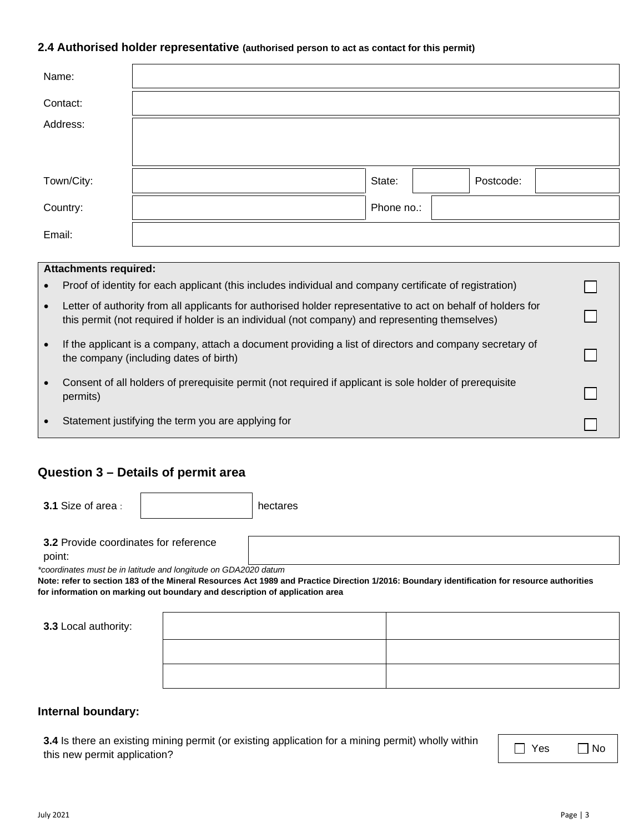#### **2.4 Authorised holder representative (authorised person to act as contact for this permit)**

| Name:                                                                                                                |                     |  |  |
|----------------------------------------------------------------------------------------------------------------------|---------------------|--|--|
| Contact:                                                                                                             |                     |  |  |
| Address:                                                                                                             |                     |  |  |
|                                                                                                                      |                     |  |  |
| Town/City:                                                                                                           | State:<br>Postcode: |  |  |
| Country:                                                                                                             | Phone no.:          |  |  |
| Email:                                                                                                               |                     |  |  |
|                                                                                                                      |                     |  |  |
| <b>Attachments required:</b>                                                                                         |                     |  |  |
| Proof of identity for each applicant (this includes individual and company certificate of registration)<br>$\bullet$ |                     |  |  |

- Letter of authority from all applicants for authorised holder representative to act on behalf of holders for this permit (not required if holder is an individual (not company) and representing themselves)
- If the applicant is a company, attach a document providing a list of directors and company secretary of the company (including dates of birth)
- Consent of all holders of prerequisite permit (not required if applicant is sole holder of prerequisite permits)
- Statement justifying the term you are applying for

### **Question 3 – Details of permit area**

**3.1** Size of area :  $\overline{\phantom{a}}$  | hectares

**3.2** Provide coordinates for reference

point:

*\*coordinates must be in latitude and longitude on GDA2020 datum* 

**Note: refer to section 183 of the Mineral Resources Act 1989 and Practice Direction 1/2016: Boundary identification for resource authorities for information on marking out boundary and description of application area**

| 3.3 Local authority: |  |
|----------------------|--|
|                      |  |
|                      |  |

#### **Internal boundary:**

**3.4** Is there an existing mining permit (or existing application for a mining permit) wholly within this new permit application?

 $\Box$ 

┑

□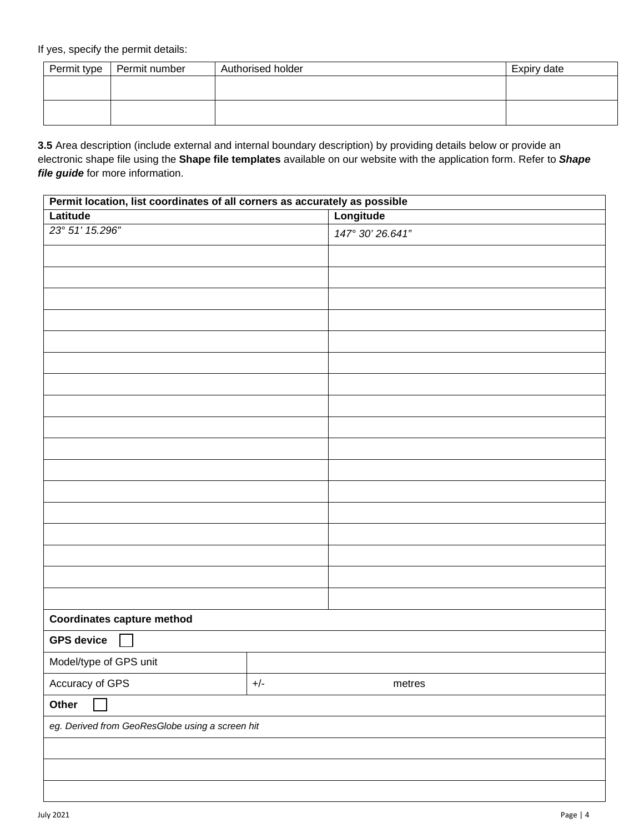If yes, specify the permit details:

| Permit type   Permit number | Authorised holder | Expiry date |
|-----------------------------|-------------------|-------------|
|                             |                   |             |
|                             |                   |             |
|                             |                   |             |
|                             |                   |             |

**3.5** Area description (include external and internal boundary description) by providing details below or provide an electronic shape file using the **Shape file templates** available on our website with the application form. Refer to *Shape file guide* for more information.

| Permit location, list coordinates of all corners as accurately as possible |       |                  |  |
|----------------------------------------------------------------------------|-------|------------------|--|
| Latitude                                                                   |       | Longitude        |  |
| 23° 51' 15.296"                                                            |       | 147° 30' 26.641" |  |
|                                                                            |       |                  |  |
|                                                                            |       |                  |  |
|                                                                            |       |                  |  |
|                                                                            |       |                  |  |
|                                                                            |       |                  |  |
|                                                                            |       |                  |  |
|                                                                            |       |                  |  |
|                                                                            |       |                  |  |
|                                                                            |       |                  |  |
|                                                                            |       |                  |  |
|                                                                            |       |                  |  |
|                                                                            |       |                  |  |
|                                                                            |       |                  |  |
|                                                                            |       |                  |  |
|                                                                            |       |                  |  |
|                                                                            |       |                  |  |
|                                                                            |       |                  |  |
| <b>Coordinates capture method</b>                                          |       |                  |  |
| <b>GPS device</b>                                                          |       |                  |  |
| Model/type of GPS unit                                                     |       |                  |  |
| Accuracy of GPS                                                            | $+/-$ | metres           |  |
| Other                                                                      |       |                  |  |
| eg. Derived from GeoResGlobe using a screen hit                            |       |                  |  |
|                                                                            |       |                  |  |
|                                                                            |       |                  |  |
|                                                                            |       |                  |  |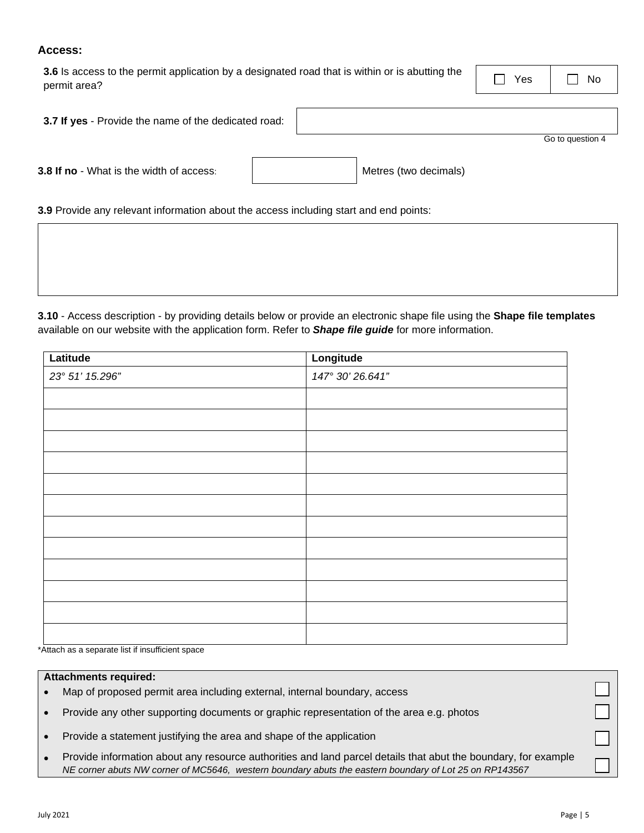#### **Access:**

| 3.6 Is access to the permit application by a designated road that is within or is abutting the | Yes | <b>No</b> |
|------------------------------------------------------------------------------------------------|-----|-----------|
| permit area?                                                                                   |     |           |

| 3.7 If yes - Provide the name of the dedicated road: |                  |
|------------------------------------------------------|------------------|
|                                                      | Go to question 4 |

**3.8 If no** - What is the width of access:  $\blacksquare$  Metres (two decimals)

**3.9** Provide any relevant information about the access including start and end points:

**3.10** - Access description - by providing details below or provide an electronic shape file using the **Shape file templates** available on our website with the application form. Refer to *Shape file guide* for more information.

| Latitude        | Longitude        |
|-----------------|------------------|
| 23° 51' 15.296" | 147° 30' 26.641" |
|                 |                  |
|                 |                  |
|                 |                  |
|                 |                  |
|                 |                  |
|                 |                  |
|                 |                  |
|                 |                  |
|                 |                  |
|                 |                  |
|                 |                  |
|                 |                  |

\*Attach as a separate list if insufficient space

#### **Attachments required:**

- Map of proposed permit area including external, internal boundary, access
- Provide any other supporting documents or graphic representation of the area e.g. photos
- Provide a statement justifying the area and shape of the application
- Provide information about any resource authorities and land parcel details that abut the boundary, for example *NE corner abuts NW corner of MC5646, western boundary abuts the eastern boundary of Lot 25 on RP143567*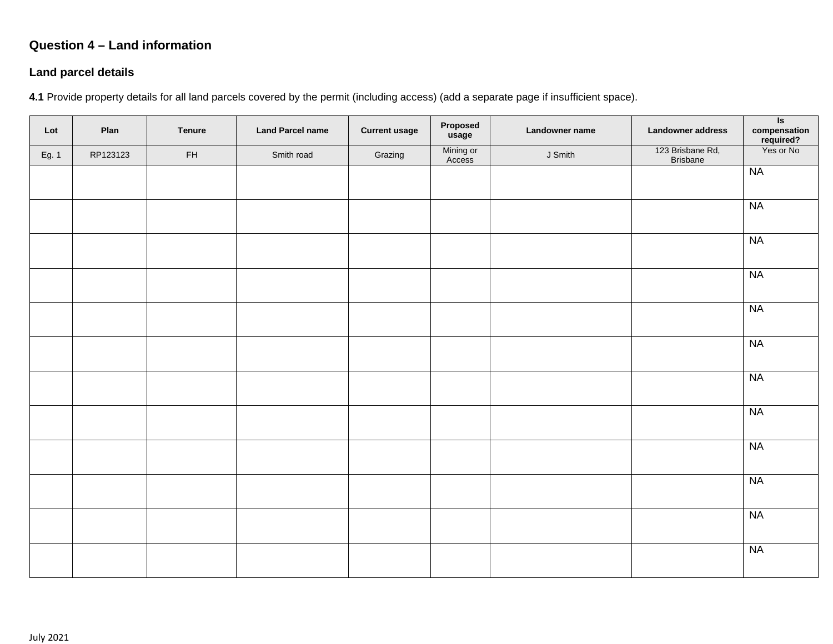# **Question 4 – Land information**

# **Land parcel details**

**4.1** Provide property details for all land parcels covered by the permit (including access) (add a separate page if insufficient space).

| Lot   | Plan     | <b>Tenure</b> | <b>Land Parcel name</b> | <b>Current usage</b> | Proposed<br>usage   | Landowner name | Landowner address                   | $\overline{\mathsf{s}}$<br>compensation<br>required?<br>Yes or No |
|-------|----------|---------------|-------------------------|----------------------|---------------------|----------------|-------------------------------------|-------------------------------------------------------------------|
| Eg. 1 | RP123123 | ${\sf FH}$    | Smith road              | Grazing              | Mining or<br>Access | J Smith        | 123 Brisbane Rd,<br><b>Brisbane</b> |                                                                   |
|       |          |               |                         |                      |                     |                |                                     | NA                                                                |
|       |          |               |                         |                      |                     |                |                                     |                                                                   |
|       |          |               |                         |                      |                     |                |                                     | NA                                                                |
|       |          |               |                         |                      |                     |                |                                     | <b>NA</b>                                                         |
|       |          |               |                         |                      |                     |                |                                     | <b>NA</b>                                                         |
|       |          |               |                         |                      |                     |                |                                     | NA                                                                |
|       |          |               |                         |                      |                     |                |                                     | NA                                                                |
|       |          |               |                         |                      |                     |                |                                     | <b>NA</b>                                                         |
|       |          |               |                         |                      |                     |                |                                     | <b>NA</b>                                                         |
|       |          |               |                         |                      |                     |                |                                     | NA                                                                |
|       |          |               |                         |                      |                     |                |                                     | NA                                                                |
|       |          |               |                         |                      |                     |                |                                     | NA                                                                |
|       |          |               |                         |                      |                     |                |                                     | <b>NA</b>                                                         |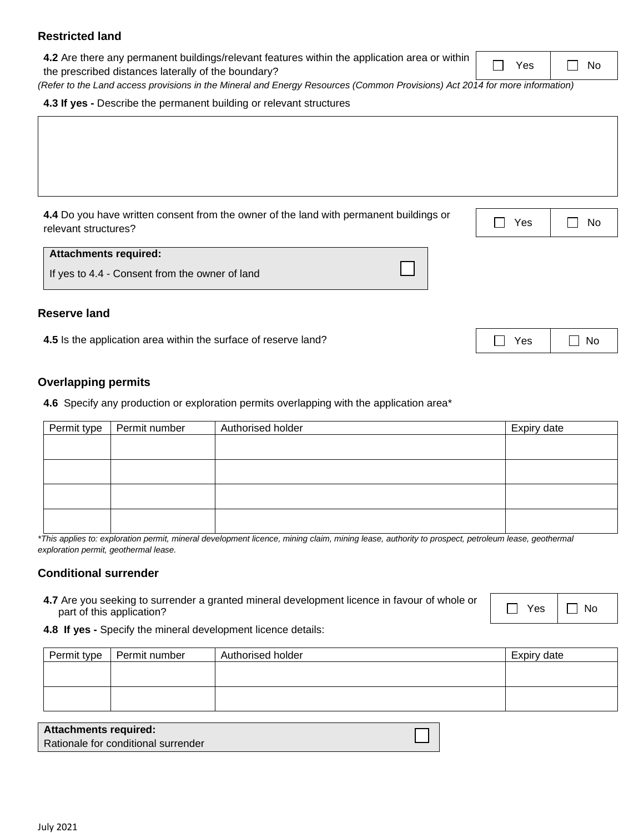#### **Restricted land**

**4.2** Are there any permanent buildings/relevant features within the application area or within the prescribed distances laterally of the boundary?

*(Refer to the Land access provisions in the Mineral and Energy Resources (Common Provisions) Act 2014 for more information)*

**4.3 If yes -** Describe the permanent building or relevant structures

**4.4** Do you have written consent from the owner of the land with permanent buildings or relevant structures?  $\Box$  No

#### **Attachments required:**

If yes to 4.4 - Consent from the owner of land

#### **Reserve land**

**4.5** Is the application area within the surface of reserve land?

#### **Overlapping permits**

**4.6** Specify any production or exploration permits overlapping with the application area\*

| Expiry date                                                                                                                    |
|--------------------------------------------------------------------------------------------------------------------------------|
|                                                                                                                                |
|                                                                                                                                |
|                                                                                                                                |
|                                                                                                                                |
|                                                                                                                                |
|                                                                                                                                |
|                                                                                                                                |
|                                                                                                                                |
| $\mathbf{r}$ , and $\mathbf{r}$ , and $\mathbf{r}$ , and $\mathbf{r}$ , and $\mathbf{r}$ , and $\mathbf{r}$ , and $\mathbf{r}$ |

*\*This applies to: exploration permit, mineral development licence, mining claim, mining lease, authority to prospect, petroleum lease, geothermal exploration permit, geothermal lease.*

#### **Conditional surrender**

**4.7** Are you seeking to surrender a granted mineral development licence in favour of whole or part of this application?

**4.8 If yes -** Specify the mineral development licence details:

| Permit type | Permit number | Authorised holder | Expiry date |
|-------------|---------------|-------------------|-------------|
|             |               |                   |             |
|             |               |                   |             |
|             |               |                   |             |
|             |               |                   |             |

| <b>Attachments required:</b>        |  |
|-------------------------------------|--|
| Rationale for conditional surrender |  |

| ρç<br>_______ | ı<br>N٥<br>-<br>______ |
|---------------|------------------------|
|---------------|------------------------|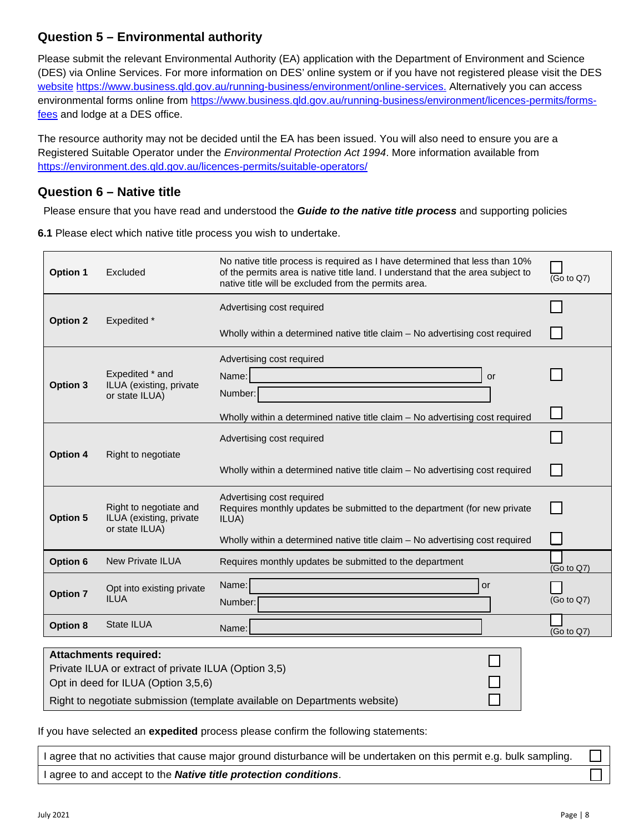# **Question 5 – Environmental authority**

Please submit the relevant Environmental Authority (EA) application with the Department of Environment and Science (DES) via Online Services. For more information on DES' online system or if you have not registered please visit the DES [website](https://www.business.qld.gov.au/running-business/environment/online-services) [https://www.business.qld.gov.au/running-business/environment/online-services.](https://www.business.qld.gov.au/running-business/environment/online-services) Alternatively you can access environmental forms online from [https://www.business.qld.gov.au/running-business/environment/licences-permits/forms](https://www.business.qld.gov.au/running-business/environment/licences-permits/forms-fees)[fees](https://www.business.qld.gov.au/running-business/environment/licences-permits/forms-fees) and lodge at a DES office.

The resource authority may not be decided until the EA has been issued. You will also need to ensure you are a Registered Suitable Operator under the *Environmental Protection Act 1994*. More information available from <https://environment.des.qld.gov.au/licences-permits/suitable-operators/>

# **Question 6 – Native title**

Please ensure that you have read and understood the *Guide to the native title process* and supporting policies

**6.1** Please elect which native title process you wish to undertake.

| <b>Option 1</b> | Excluded                                                                                                                    | No native title process is required as I have determined that less than 10%<br>of the permits area is native title land. I understand that the area subject to<br>native title will be excluded from the permits area. | $\overline{(Go \text{ to } Q7)}$ |
|-----------------|-----------------------------------------------------------------------------------------------------------------------------|------------------------------------------------------------------------------------------------------------------------------------------------------------------------------------------------------------------------|----------------------------------|
|                 |                                                                                                                             | Advertising cost required                                                                                                                                                                                              |                                  |
| <b>Option 2</b> | Expedited *                                                                                                                 | Wholly within a determined native title claim – No advertising cost required                                                                                                                                           |                                  |
|                 |                                                                                                                             | Advertising cost required                                                                                                                                                                                              |                                  |
| <b>Option 3</b> | Expedited * and<br>ILUA (existing, private                                                                                  | Name:<br>or                                                                                                                                                                                                            |                                  |
|                 | or state ILUA)                                                                                                              | Number:                                                                                                                                                                                                                |                                  |
|                 |                                                                                                                             | Wholly within a determined native title claim - No advertising cost required                                                                                                                                           |                                  |
|                 |                                                                                                                             | Advertising cost required                                                                                                                                                                                              |                                  |
| <b>Option 4</b> | Right to negotiate                                                                                                          | Wholly within a determined native title claim - No advertising cost required                                                                                                                                           |                                  |
| <b>Option 5</b> | Right to negotiate and<br>ILUA (existing, private                                                                           | Advertising cost required<br>Requires monthly updates be submitted to the department (for new private<br>ILUA)                                                                                                         |                                  |
|                 | or state ILUA)                                                                                                              | Wholly within a determined native title claim - No advertising cost required                                                                                                                                           |                                  |
| Option 6        | <b>New Private ILUA</b>                                                                                                     | Requires monthly updates be submitted to the department                                                                                                                                                                | $\overline{(Go \text{ to } Q7)}$ |
| <b>Option 7</b> | Opt into existing private<br><b>ILUA</b>                                                                                    | Name:<br>or<br>Number:                                                                                                                                                                                                 | (Go to Q7)                       |
| <b>Option 8</b> | State ILUA                                                                                                                  | Name:                                                                                                                                                                                                                  | (Go to Q7)                       |
|                 | <b>Attachments required:</b><br>Private ILUA or extract of private ILUA (Option 3,5)<br>Opt in deed for ILUA (Option 3,5,6) | Right to negotiate submission (template available on Departments website)                                                                                                                                              |                                  |

If you have selected an **expedited** process please confirm the following statements:

I agree that no activities that cause major ground disturbance will be undertaken on this permit e.g. bulk sampling. I agree to and accept to the *Native title protection conditions*.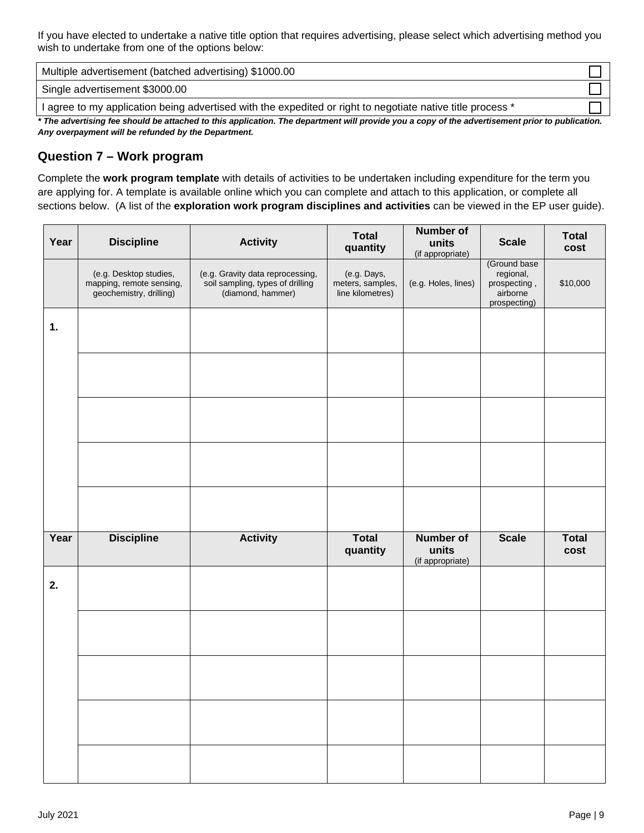If you have elected to undertake a native title option that requires advertising, please select which advertising method you wish to undertake from one of the options below:

Multiple advertisement (batched advertising) \$1000.00

Single advertisement \$3000.00

I agree to my application being advertised with the expedited or right to negotiate native title process \*

*\* The advertising fee should be attached to this application. The department will provide you a copy of the advertisement prior to publication. Any overpayment will be refunded by the Department.*

# **Question 7 – Work program**

Complete the **work program template** with details of activities to be undertaken including expenditure for the term you are applying for. A template is available online which you can complete and attach to this application, or complete all sections below. (A list of the **exploration work program disciplines and activities** can be viewed in the EP user guide).

| Year | <b>Discipline</b>                                                             | <b>Activity</b>                                                                           | <b>Total</b><br>quantity                            | Number of<br>units<br>(if appropriate)        | <b>Scale</b>                                                          | <b>Total</b><br>cost |
|------|-------------------------------------------------------------------------------|-------------------------------------------------------------------------------------------|-----------------------------------------------------|-----------------------------------------------|-----------------------------------------------------------------------|----------------------|
|      | (e.g. Desktop studies,<br>mapping, remote sensing,<br>geochemistry, drilling) | (e.g. Gravity data reprocessing,<br>soil sampling, types of drilling<br>(diamond, hammer) | (e.g. Days,<br>meters, samples,<br>line kilometres) | (e.g. Holes, lines)                           | (Ground base<br>regional,<br>prospecting,<br>airborne<br>prospecting) | \$10,000             |
| 1.   |                                                                               |                                                                                           |                                                     |                                               |                                                                       |                      |
|      |                                                                               |                                                                                           |                                                     |                                               |                                                                       |                      |
|      |                                                                               |                                                                                           |                                                     |                                               |                                                                       |                      |
|      |                                                                               |                                                                                           |                                                     |                                               |                                                                       |                      |
|      |                                                                               |                                                                                           |                                                     |                                               |                                                                       |                      |
| Year | <b>Discipline</b>                                                             | <b>Activity</b>                                                                           | <b>Total</b><br>quantity                            | <b>Number of</b><br>units<br>(if appropriate) | <b>Scale</b>                                                          | <b>Total</b><br>cost |
| 2.   |                                                                               |                                                                                           |                                                     |                                               |                                                                       |                      |
|      |                                                                               |                                                                                           |                                                     |                                               |                                                                       |                      |
|      |                                                                               |                                                                                           |                                                     |                                               |                                                                       |                      |
|      |                                                                               |                                                                                           |                                                     |                                               |                                                                       |                      |
|      |                                                                               |                                                                                           |                                                     |                                               |                                                                       |                      |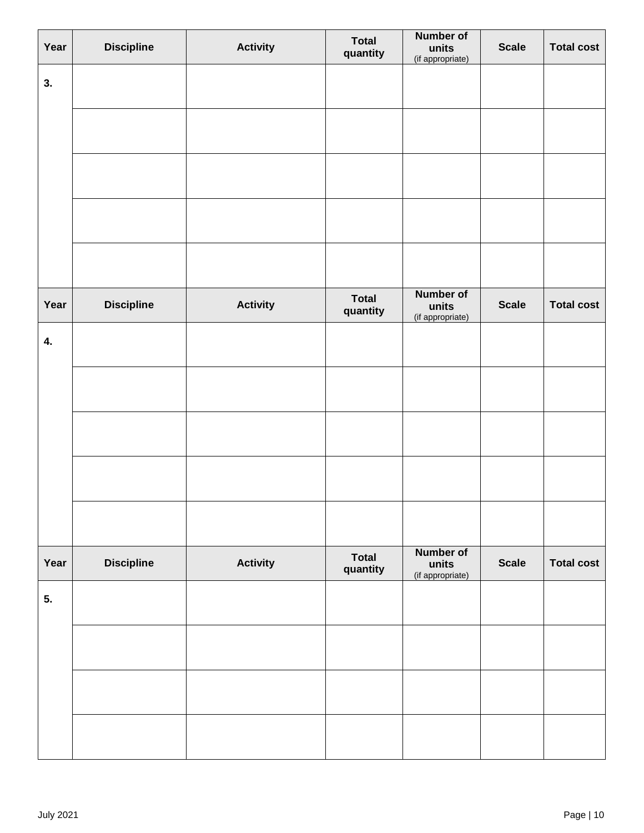| Year | <b>Discipline</b> | <b>Activity</b> | <b>Total</b><br>quantity | <b>Number of</b><br>units<br>(if appropriate) | <b>Scale</b> | <b>Total cost</b> |
|------|-------------------|-----------------|--------------------------|-----------------------------------------------|--------------|-------------------|
| 3.   |                   |                 |                          |                                               |              |                   |
|      |                   |                 |                          |                                               |              |                   |
|      |                   |                 |                          |                                               |              |                   |
|      |                   |                 |                          |                                               |              |                   |
|      |                   |                 |                          |                                               |              |                   |
| Year | <b>Discipline</b> | <b>Activity</b> | <b>Total</b><br>quantity | <b>Number of</b><br>units<br>(if appropriate) | <b>Scale</b> | <b>Total cost</b> |
| 4.   |                   |                 |                          |                                               |              |                   |
|      |                   |                 |                          |                                               |              |                   |
|      |                   |                 |                          |                                               |              |                   |
|      |                   |                 |                          |                                               |              |                   |
|      |                   |                 |                          |                                               |              |                   |
| Year | <b>Discipline</b> | <b>Activity</b> | <b>Total</b><br>quantity | <b>Number of</b><br>units<br>(if appropriate) | <b>Scale</b> | <b>Total cost</b> |
| 5.   |                   |                 |                          |                                               |              |                   |
|      |                   |                 |                          |                                               |              |                   |
|      |                   |                 |                          |                                               |              |                   |
|      |                   |                 |                          |                                               |              |                   |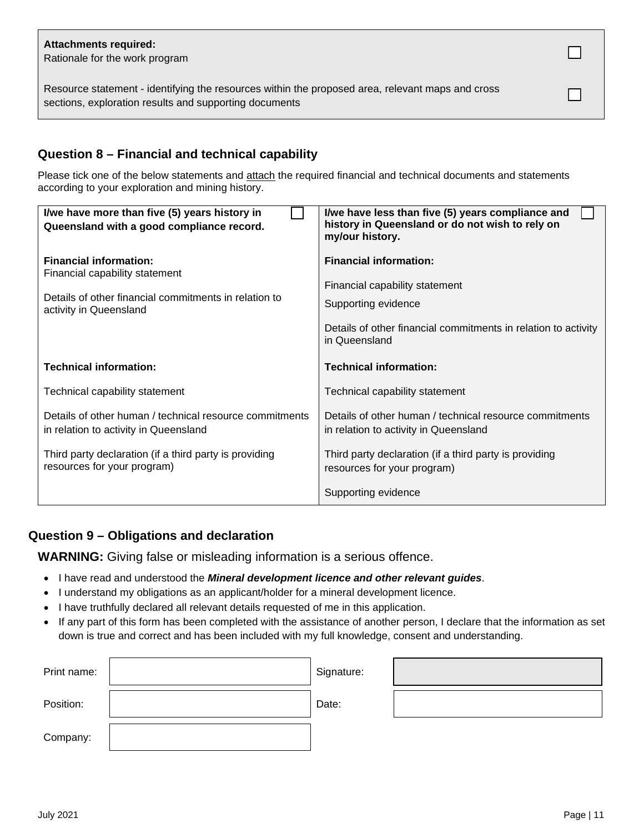### **Attachments required:**

Rationale for the work program

Resource statement - identifying the resources within the proposed area, relevant maps and cross sections, exploration results and supporting documents

# **Question 8 – Financial and technical capability**

Please tick one of the below statements and attach the required financial and technical documents and statements according to your exploration and mining history.

| I/we have more than five (5) years history in<br>Queensland with a good compliance record. | I/we have less than five (5) years compliance and<br>history in Queensland or do not wish to rely on<br>my/our history. |
|--------------------------------------------------------------------------------------------|-------------------------------------------------------------------------------------------------------------------------|
| <b>Financial information:</b><br>Financial capability statement                            | <b>Financial information:</b>                                                                                           |
|                                                                                            | Financial capability statement                                                                                          |
| Details of other financial commitments in relation to<br>activity in Queensland            | Supporting evidence                                                                                                     |
|                                                                                            | Details of other financial commitments in relation to activity<br>in Queensland                                         |
| <b>Technical information:</b>                                                              | <b>Technical information:</b>                                                                                           |
| Technical capability statement                                                             | Technical capability statement                                                                                          |
| Details of other human / technical resource commitments                                    | Details of other human / technical resource commitments                                                                 |
| in relation to activity in Queensland                                                      | in relation to activity in Queensland                                                                                   |
| Third party declaration (if a third party is providing<br>resources for your program)      | Third party declaration (if a third party is providing<br>resources for your program)                                   |

# **Question 9 – Obligations and declaration**

**WARNING:** Giving false or misleading information is a serious offence.

- I have read and understood the *Mineral development licence and other relevant guides*.
- I understand my obligations as an applicant/holder for a mineral development licence.
- I have truthfully declared all relevant details requested of me in this application.
- If any part of this form has been completed with the assistance of another person, I declare that the information as set down is true and correct and has been included with my full knowledge, consent and understanding.

| Print name: | Signature: |  |
|-------------|------------|--|
| Position:   | Date:      |  |
| Company:    |            |  |

 $\Box$ 

П